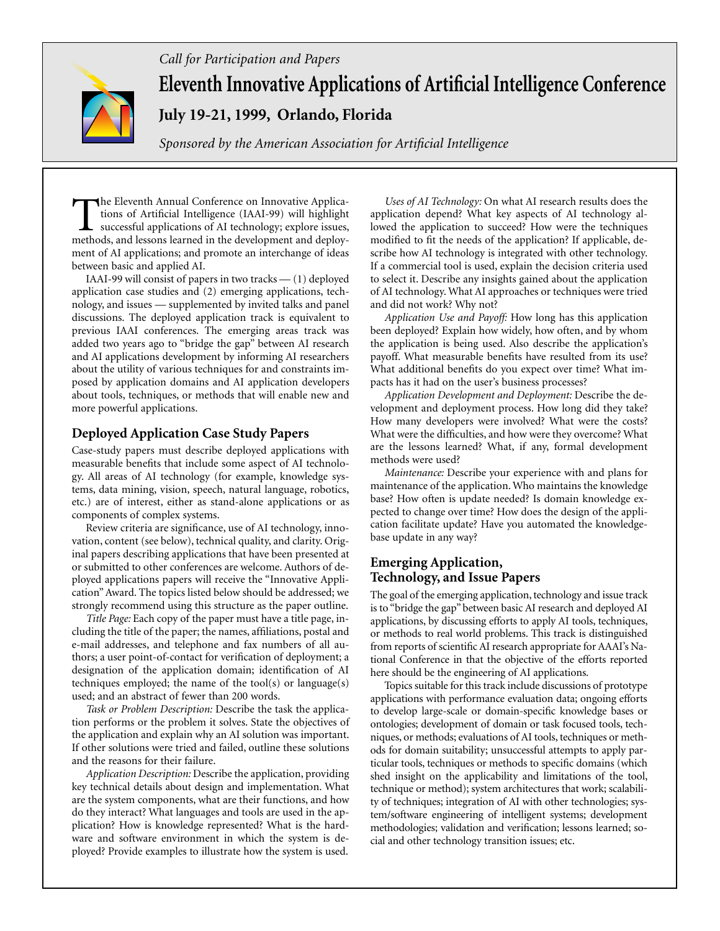

*Call for Participation and Papers* **Eleventh Innovative Applications of Artificial Intelligence Conference July 19-21, 1999, Orlando, Florida** 

*Sponsored by the American Association for Artificial Intelligence*

The Eleventh Annual Conference on Innovative Applications of Artificial Intelligence (IAAI-99) will highlight successful applications of AI technology; explore issues, methods, and lessons learned in the development and de tions of Artificial Intelligence (IAAI-99) will highlight methods, and lessons learned in the development and deployment of AI applications; and promote an interchange of ideas between basic and applied AI.

IAAI-99 will consist of papers in two tracks — (1) deployed application case studies and (2) emerging applications, technology, and issues — supplemented by invited talks and panel discussions. The deployed application track is equivalent to previous IAAI conferences. The emerging areas track was added two years ago to "bridge the gap" between AI research and AI applications development by informing AI researchers about the utility of various techniques for and constraints imposed by application domains and AI application developers about tools, techniques, or methods that will enable new and more powerful applications.

## **Deployed Application Case Study Papers**

Case-study papers must describe deployed applications with measurable benefits that include some aspect of AI technology. All areas of AI technology (for example, knowledge systems, data mining, vision, speech, natural language, robotics, etc.) are of interest, either as stand-alone applications or as components of complex systems.

Review criteria are significance, use of AI technology, innovation, content (see below), technical quality, and clarity. Original papers describing applications that have been presented at or submitted to other conferences are welcome. Authors of deployed applications papers will receive the "Innovative Application" Award. The topics listed below should be addressed; we strongly recommend using this structure as the paper outline.

*Title Page:* Each copy of the paper must have a title page, including the title of the paper; the names, affiliations, postal and e-mail addresses, and telephone and fax numbers of all authors; a user point-of-contact for verification of deployment; a designation of the application domain; identification of AI techniques employed; the name of the tool(s) or language(s) used; and an abstract of fewer than 200 words.

*Task or Problem Description:* Describe the task the application performs or the problem it solves. State the objectives of the application and explain why an AI solution was important. If other solutions were tried and failed, outline these solutions and the reasons for their failure.

*Application Description:* Describe the application, providing key technical details about design and implementation. What are the system components, what are their functions, and how do they interact? What languages and tools are used in the application? How is knowledge represented? What is the hardware and software environment in which the system is deployed? Provide examples to illustrate how the system is used.

*Uses of AI Technology:* On what AI research results does the application depend? What key aspects of AI technology allowed the application to succeed? How were the techniques modified to fit the needs of the application? If applicable, describe how AI technology is integrated with other technology. If a commercial tool is used, explain the decision criteria used to select it. Describe any insights gained about the application of AI technology. What AI approaches or techniques were tried and did not work? Why not?

*Application Use and Payoff:* How long has this application been deployed? Explain how widely, how often, and by whom the application is being used. Also describe the application's payoff. What measurable benefits have resulted from its use? What additional benefits do you expect over time? What impacts has it had on the user's business processes?

*Application Development and Deployment:* Describe the development and deployment process. How long did they take? How many developers were involved? What were the costs? What were the difficulties, and how were they overcome? What are the lessons learned? What, if any, formal development methods were used?

*Maintenance:* Describe your experience with and plans for maintenance of the application. Who maintains the knowledge base? How often is update needed? Is domain knowledge expected to change over time? How does the design of the application facilitate update? Have you automated the knowledgebase update in any way?

## **Emerging Application, Technology, and Issue Papers**

The goal of the emerging application, technology and issue track is to "bridge the gap" between basic AI research and deployed AI applications, by discussing efforts to apply AI tools, techniques, or methods to real world problems. This track is distinguished from reports of scientific AI research appropriate for AAAI's National Conference in that the objective of the efforts reported here should be the engineering of AI applications.

Topics suitable for this track include discussions of prototype applications with performance evaluation data; ongoing efforts to develop large-scale or domain-specific knowledge bases or ontologies; development of domain or task focused tools, techniques, or methods; evaluations of AI tools, techniques or methods for domain suitability; unsuccessful attempts to apply particular tools, techniques or methods to specific domains (which shed insight on the applicability and limitations of the tool, technique or method); system architectures that work; scalability of techniques; integration of AI with other technologies; system/software engineering of intelligent systems; development methodologies; validation and verification; lessons learned; social and other technology transition issues; etc.